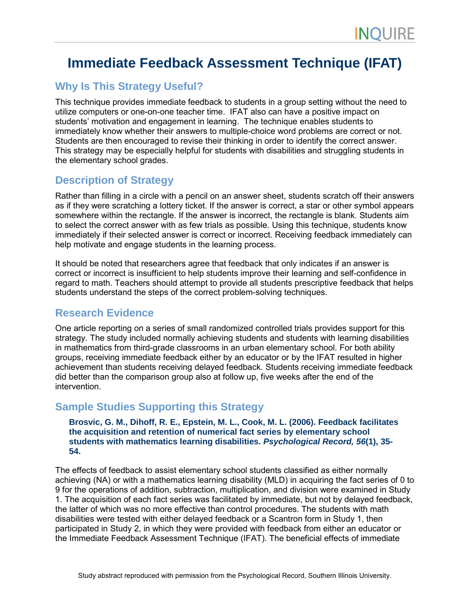# **Immediate Feedback Assessment Technique (IFAT)**

# **Why Is This Strategy Useful?**

This technique provides immediate feedback to students in a group setting without the need to utilize computers or one-on-one teacher time. IFAT also can have a positive impact on students' motivation and engagement in learning. The technique enables students to immediately know whether their answers to multiple-choice word problems are correct or not. Students are then encouraged to revise their thinking in order to identify the correct answer. This strategy may be especially helpful for students with disabilities and struggling students in the elementary school grades.

# **Description of Strategy**

Rather than filling in a circle with a pencil on an answer sheet, students scratch off their answers as if they were scratching a lottery ticket. If the answer is correct, a star or other symbol appears somewhere within the rectangle. If the answer is incorrect, the rectangle is blank. Students aim to select the correct answer with as few trials as possible. Using this technique, students know immediately if their selected answer is correct or incorrect. Receiving feedback immediately can help motivate and engage students in the learning process.

It should be noted that researchers agree that feedback that only indicates if an answer is correct or incorrect is insufficient to help students improve their learning and self-confidence in regard to math. Teachers should attempt to provide all students prescriptive feedback that helps students understand the steps of the correct problem-solving techniques.

### **Research Evidence**

One article reporting on a series of small randomized controlled trials provides support for this strategy. The study included normally achieving students and students with learning disabilities in mathematics from third-grade classrooms in an urban elementary school. For both ability groups, receiving immediate feedback either by an educator or by the IFAT resulted in higher achievement than students receiving delayed feedback. Students receiving immediate feedback did better than the comparison group also at follow up, five weeks after the end of the intervention.

# **Sample Studies Supporting this Strategy**

#### **Brosvic, G. M., Dihoff, R. E., Epstein, M. L., Cook, M. L. (2006). Feedback facilitates the acquisition and retention of numerical fact series by elementary school students with mathematics learning disabilities.** *Psychological Record, 56***(1), 35- 54.**

The effects of feedback to assist elementary school students classified as either normally achieving (NA) or with a mathematics learning disability (MLD) in acquiring the fact series of 0 to 9 for the operations of addition, subtraction, multiplication, and division were examined in Study 1. The acquisition of each fact series was facilitated by immediate, but not by delayed feedback, the latter of which was no more effective than control procedures. The students with math disabilities were tested with either delayed feedback or a Scantron form in Study 1, then participated in Study 2, in which they were provided with feedback from either an educator or the Immediate Feedback Assessment Technique (IFAT). The beneficial effects of immediate